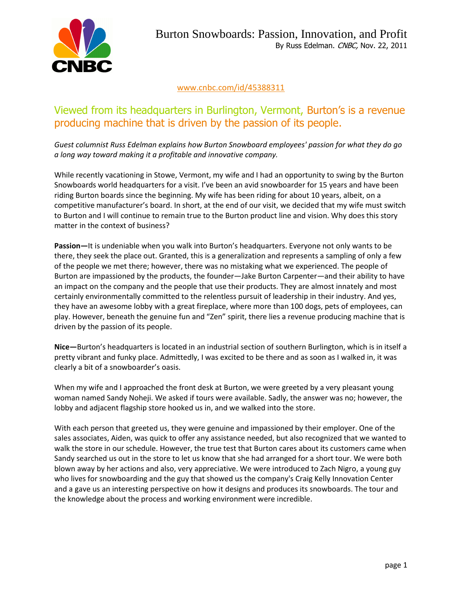

www.cnbc.com/id/45388311

## Viewed from its headquarters in Burlington, Vermont, Burton's is a revenue producing machine that is driven by the passion of its people.

*Guest columnist Russ Edelman explains how Burton Snowboard employees' passion for what they do go a long way toward making it a profitable and innovative company.*

While recently vacationing in Stowe, Vermont, my wife and I had an opportunity to swing by the Burton Snowboards world headquarters for a visit. I've been an avid snowboarder for 15 years and have been riding Burton boards since the beginning. My wife has been riding for about 10 years, albeit, on a competitive manufacturer's board. In short, at the end of our visit, we decided that my wife must switch to Burton and I will continue to remain true to the Burton product line and vision. Why does this story matter in the context of business?

**Passion—**It is undeniable when you walk into Burton's headquarters. Everyone not only wants to be there, they seek the place out. Granted, this is a generalization and represents a sampling of only a few of the people we met there; however, there was no mistaking what we experienced. The people of Burton are impassioned by the products, the founder—Jake Burton Carpenter—and their ability to have an impact on the company and the people that use their products. They are almost innately and most certainly environmentally committed to the relentless pursuit of leadership in their industry. And yes, they have an awesome lobby with a great fireplace, where more than 100 dogs, pets of employees, can play. However, beneath the genuine fun and "Zen" spirit, there lies a revenue producing machine that is driven by the passion of its people.

**Nice—**Burton's headquarters is located in an industrial section of southern Burlington, which is in itself a pretty vibrant and funky place. Admittedly, I was excited to be there and as soon as I walked in, it was clearly a bit of a snowboarder's oasis.

When my wife and I approached the front desk at Burton, we were greeted by a very pleasant young woman named Sandy Noheji. We asked if tours were available. Sadly, the answer was no; however, the lobby and adjacent flagship store hooked us in, and we walked into the store.

With each person that greeted us, they were genuine and impassioned by their employer. One of the sales associates, Aiden, was quick to offer any assistance needed, but also recognized that we wanted to walk the store in our schedule. However, the true test that Burton cares about its customers came when Sandy searched us out in the store to let us know that she had arranged for a short tour. We were both blown away by her actions and also, very appreciative. We were introduced to Zach Nigro, a young guy who lives for snowboarding and the guy that showed us the company's Craig Kelly Innovation Center and a gave us an interesting perspective on how it designs and produces its snowboards. The tour and the knowledge about the process and working environment were incredible.